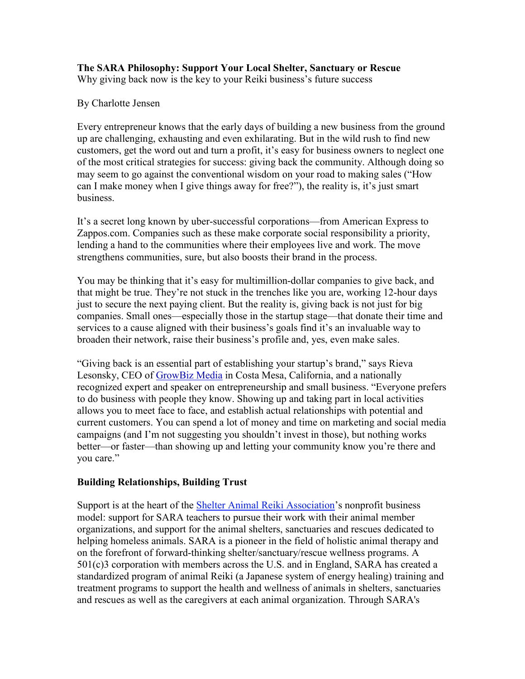## The SARA Philosophy: Support Your Local Shelter, Sanctuary or Rescue

Why giving back now is the key to your Reiki business's future success

### By Charlotte Jensen

Every entrepreneur knows that the early days of building a new business from the ground up are challenging, exhausting and even exhilarating. But in the wild rush to find new customers, get the word out and turn a profit, it's easy for business owners to neglect one of the most critical strategies for success: giving back the community. Although doing so may seem to go against the conventional wisdom on your road to making sales ("How can I make money when I give things away for free?"), the reality is, it's just smart business.

It's a secret long known by uber-successful corporations—from American Express to Zappos.com. Companies such as these make corporate social responsibility a priority, lending a hand to the communities where their employees live and work. The move strengthens communities, sure, but also boosts their brand in the process.

You may be thinking that it's easy for multimillion-dollar companies to give back, and that might be true. They're not stuck in the trenches like you are, working 12-hour days just to secure the next paying client. But the reality is, giving back is not just for big companies. Small ones—especially those in the startup stage—that donate their time and services to a cause aligned with their business's goals find it's an invaluable way to broaden their network, raise their business's profile and, yes, even make sales.

"Giving back is an essential part of establishing your startup's brand," says Rieva Lesonsky, CEO of GrowBiz Media in Costa Mesa, California, and a nationally recognized expert and speaker on entrepreneurship and small business. "Everyone prefers to do business with people they know. Showing up and taking part in local activities allows you to meet face to face, and establish actual relationships with potential and current customers. You can spend a lot of money and time on marketing and social media campaigns (and I'm not suggesting you shouldn't invest in those), but nothing works better—or faster—than showing up and letting your community know you're there and you care."

## Building Relationships, Building Trust

Support is at the heart of the Shelter Animal Reiki Association's nonprofit business model: support for SARA teachers to pursue their work with their animal member organizations, and support for the animal shelters, sanctuaries and rescues dedicated to helping homeless animals. SARA is a pioneer in the field of holistic animal therapy and on the forefront of forward-thinking shelter/sanctuary/rescue wellness programs. A 501(c)3 corporation with members across the U.S. and in England, SARA has created a standardized program of animal Reiki (a Japanese system of energy healing) training and treatment programs to support the health and wellness of animals in shelters, sanctuaries and rescues as well as the caregivers at each animal organization. Through SARA's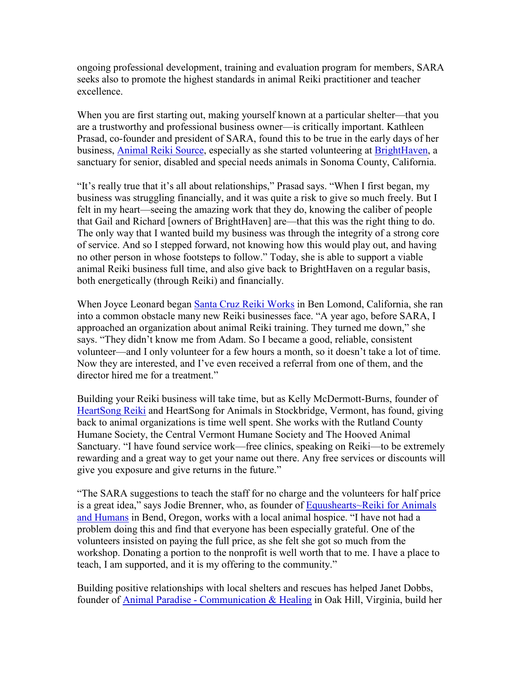ongoing professional development, training and evaluation program for members, SARA seeks also to promote the highest standards in animal Reiki practitioner and teacher excellence.

When you are first starting out, making yourself known at a particular shelter—that you are a trustworthy and professional business owner—is critically important. Kathleen Prasad, co-founder and president of SARA, found this to be true in the early days of her business, Animal Reiki Source, especially as she started volunteering at BrightHaven, a sanctuary for senior, disabled and special needs animals in Sonoma County, California.

"It's really true that it's all about relationships," Prasad says. "When I first began, my business was struggling financially, and it was quite a risk to give so much freely. But I felt in my heart—seeing the amazing work that they do, knowing the caliber of people that Gail and Richard [owners of BrightHaven] are—that this was the right thing to do. The only way that I wanted build my business was through the integrity of a strong core of service. And so I stepped forward, not knowing how this would play out, and having no other person in whose footsteps to follow." Today, she is able to support a viable animal Reiki business full time, and also give back to BrightHaven on a regular basis, both energetically (through Reiki) and financially.

When Joyce Leonard began Santa Cruz Reiki Works in Ben Lomond, California, she ran into a common obstacle many new Reiki businesses face. "A year ago, before SARA, I approached an organization about animal Reiki training. They turned me down," she says. "They didn't know me from Adam. So I became a good, reliable, consistent volunteer—and I only volunteer for a few hours a month, so it doesn't take a lot of time. Now they are interested, and I've even received a referral from one of them, and the director hired me for a treatment."

Building your Reiki business will take time, but as Kelly McDermott-Burns, founder of HeartSong Reiki and HeartSong for Animals in Stockbridge, Vermont, has found, giving back to animal organizations is time well spent. She works with the Rutland County Humane Society, the Central Vermont Humane Society and The Hooved Animal Sanctuary. "I have found service work—free clinics, speaking on Reiki—to be extremely rewarding and a great way to get your name out there. Any free services or discounts will give you exposure and give returns in the future."

"The SARA suggestions to teach the staff for no charge and the volunteers for half price is a great idea," says Jodie Brenner, who, as founder of Equushearts~Reiki for Animals and Humans in Bend, Oregon, works with a local animal hospice. "I have not had a problem doing this and find that everyone has been especially grateful. One of the volunteers insisted on paying the full price, as she felt she got so much from the workshop. Donating a portion to the nonprofit is well worth that to me. I have a place to teach, I am supported, and it is my offering to the community."

Building positive relationships with local shelters and rescues has helped Janet Dobbs, founder of Animal Paradise - Communication & Healing in Oak Hill, Virginia, build her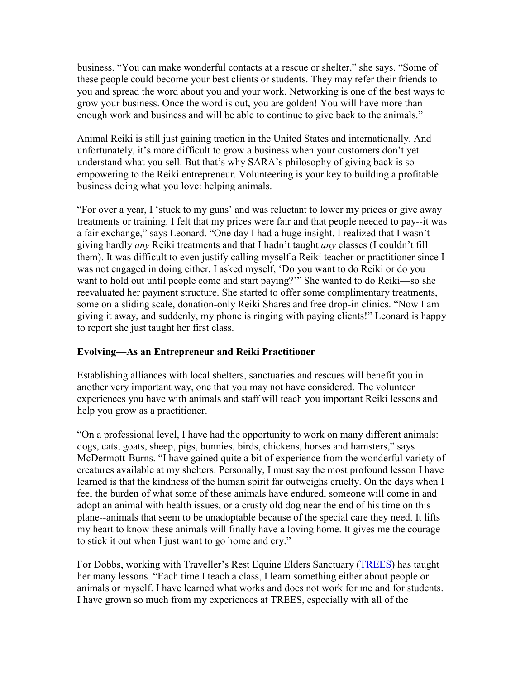business. "You can make wonderful contacts at a rescue or shelter," she says. "Some of these people could become your best clients or students. They may refer their friends to you and spread the word about you and your work. Networking is one of the best ways to grow your business. Once the word is out, you are golden! You will have more than enough work and business and will be able to continue to give back to the animals."

Animal Reiki is still just gaining traction in the United States and internationally. And unfortunately, it's more difficult to grow a business when your customers don't yet understand what you sell. But that's why SARA's philosophy of giving back is so empowering to the Reiki entrepreneur. Volunteering is your key to building a profitable business doing what you love: helping animals.

"For over a year, I 'stuck to my guns' and was reluctant to lower my prices or give away treatments or training. I felt that my prices were fair and that people needed to pay--it was a fair exchange," says Leonard. "One day I had a huge insight. I realized that I wasn't giving hardly any Reiki treatments and that I hadn't taught any classes (I couldn't fill them). It was difficult to even justify calling myself a Reiki teacher or practitioner since I was not engaged in doing either. I asked myself, 'Do you want to do Reiki or do you want to hold out until people come and start paying?'" She wanted to do Reiki—so she reevaluated her payment structure. She started to offer some complimentary treatments, some on a sliding scale, donation-only Reiki Shares and free drop-in clinics. "Now I am giving it away, and suddenly, my phone is ringing with paying clients!" Leonard is happy to report she just taught her first class.

## Evolving—As an Entrepreneur and Reiki Practitioner

Establishing alliances with local shelters, sanctuaries and rescues will benefit you in another very important way, one that you may not have considered. The volunteer experiences you have with animals and staff will teach you important Reiki lessons and help you grow as a practitioner.

"On a professional level, I have had the opportunity to work on many different animals: dogs, cats, goats, sheep, pigs, bunnies, birds, chickens, horses and hamsters," says McDermott-Burns. "I have gained quite a bit of experience from the wonderful variety of creatures available at my shelters. Personally, I must say the most profound lesson I have learned is that the kindness of the human spirit far outweighs cruelty. On the days when I feel the burden of what some of these animals have endured, someone will come in and adopt an animal with health issues, or a crusty old dog near the end of his time on this plane--animals that seem to be unadoptable because of the special care they need. It lifts my heart to know these animals will finally have a loving home. It gives me the courage to stick it out when I just want to go home and cry."

For Dobbs, working with Traveller's Rest Equine Elders Sanctuary (TREES) has taught her many lessons. "Each time I teach a class, I learn something either about people or animals or myself. I have learned what works and does not work for me and for students. I have grown so much from my experiences at TREES, especially with all of the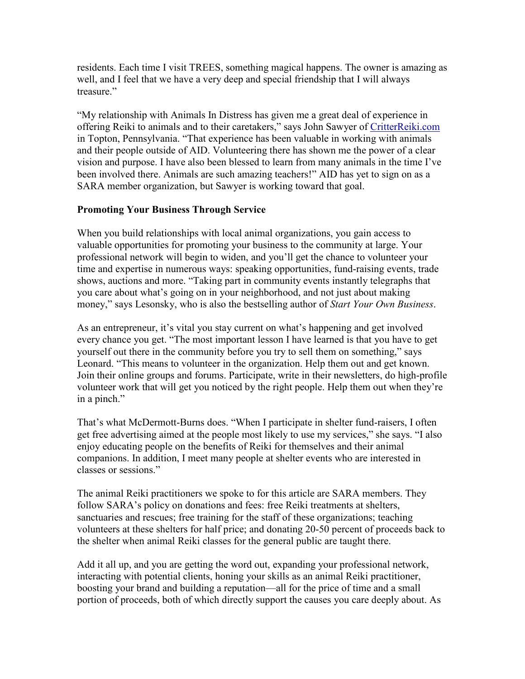residents. Each time I visit TREES, something magical happens. The owner is amazing as well, and I feel that we have a very deep and special friendship that I will always treasure<sup>"</sup>

"My relationship with Animals In Distress has given me a great deal of experience in offering Reiki to animals and to their caretakers," says John Sawyer of CritterReiki.com in Topton, Pennsylvania. "That experience has been valuable in working with animals and their people outside of AID. Volunteering there has shown me the power of a clear vision and purpose. I have also been blessed to learn from many animals in the time I've been involved there. Animals are such amazing teachers!" AID has yet to sign on as a SARA member organization, but Sawyer is working toward that goal.

# Promoting Your Business Through Service

When you build relationships with local animal organizations, you gain access to valuable opportunities for promoting your business to the community at large. Your professional network will begin to widen, and you'll get the chance to volunteer your time and expertise in numerous ways: speaking opportunities, fund-raising events, trade shows, auctions and more. "Taking part in community events instantly telegraphs that you care about what's going on in your neighborhood, and not just about making money," says Lesonsky, who is also the bestselling author of *Start Your Own Business*.

As an entrepreneur, it's vital you stay current on what's happening and get involved every chance you get. "The most important lesson I have learned is that you have to get yourself out there in the community before you try to sell them on something," says Leonard. "This means to volunteer in the organization. Help them out and get known. Join their online groups and forums. Participate, write in their newsletters, do high-profile volunteer work that will get you noticed by the right people. Help them out when they're in a pinch."

That's what McDermott-Burns does. "When I participate in shelter fund-raisers, I often get free advertising aimed at the people most likely to use my services," she says. "I also enjoy educating people on the benefits of Reiki for themselves and their animal companions. In addition, I meet many people at shelter events who are interested in classes or sessions."

The animal Reiki practitioners we spoke to for this article are SARA members. They follow SARA's policy on donations and fees: free Reiki treatments at shelters, sanctuaries and rescues; free training for the staff of these organizations; teaching volunteers at these shelters for half price; and donating 20-50 percent of proceeds back to the shelter when animal Reiki classes for the general public are taught there.

Add it all up, and you are getting the word out, expanding your professional network, interacting with potential clients, honing your skills as an animal Reiki practitioner, boosting your brand and building a reputation—all for the price of time and a small portion of proceeds, both of which directly support the causes you care deeply about. As